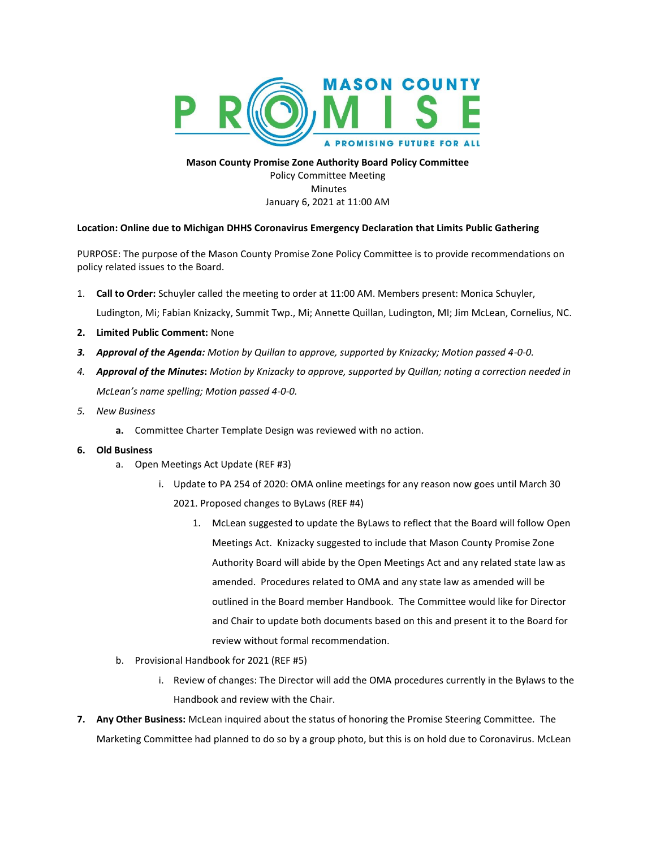

## **Mason County Promise Zone Authority Board Policy Committee** Policy Committee Meeting Minutes January 6, 2021 at 11:00 AM

## **Location: Online due to Michigan DHHS Coronavirus Emergency Declaration that Limits Public Gathering**

PURPOSE: The purpose of the Mason County Promise Zone Policy Committee is to provide recommendations on policy related issues to the Board.

1. **Call to Order:** Schuyler called the meeting to order at 11:00 AM. Members present: Monica Schuyler,

Ludington, Mi; Fabian Knizacky, Summit Twp., Mi; Annette Quillan, Ludington, MI; Jim McLean, Cornelius, NC.

- **2. Limited Public Comment:** None
- *3. Approval of the Agenda: Motion by Quillan to approve, supported by Knizacky; Motion passed 4-0-0.*
- *4. Approval of the Minutes***:** *Motion by Knizacky to approve, supported by Quillan; noting a correction needed in McLean's name spelling; Motion passed 4-0-0.*
- *5. New Business* 
	- **a.** Committee Charter Template Design was reviewed with no action.
- **6. Old Business**
	- a. Open Meetings Act Update (REF #3)
		- i. Update to PA 254 of 2020: OMA online meetings for any reason now goes until March 30 2021. Proposed changes to ByLaws (REF #4)
			- 1. McLean suggested to update the ByLaws to reflect that the Board will follow Open Meetings Act. Knizacky suggested to include that Mason County Promise Zone Authority Board will abide by the Open Meetings Act and any related state law as amended. Procedures related to OMA and any state law as amended will be outlined in the Board member Handbook. The Committee would like for Director and Chair to update both documents based on this and present it to the Board for review without formal recommendation.
	- b. Provisional Handbook for 2021 (REF #5)
		- i. Review of changes: The Director will add the OMA procedures currently in the Bylaws to the Handbook and review with the Chair.
- **7. Any Other Business:** McLean inquired about the status of honoring the Promise Steering Committee. The Marketing Committee had planned to do so by a group photo, but this is on hold due to Coronavirus. McLean